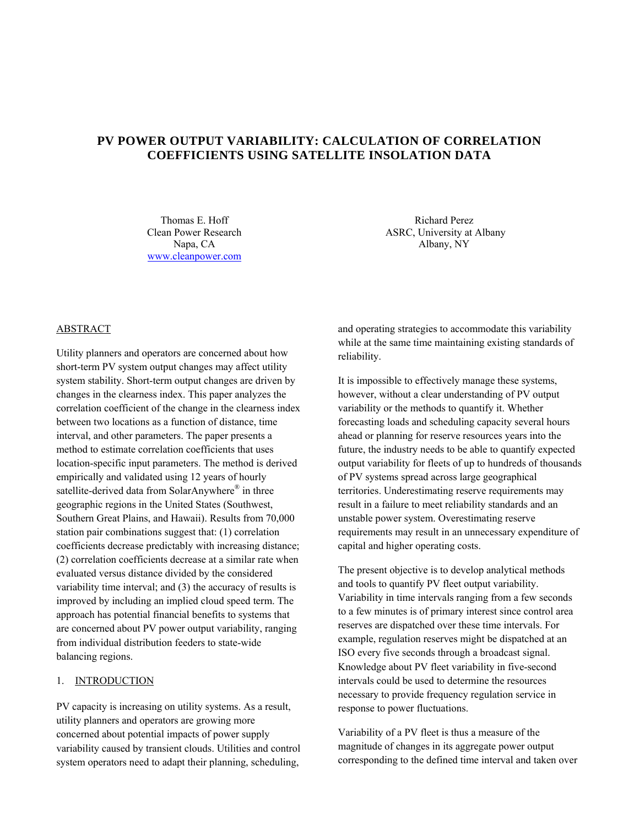# **PV POWER OUTPUT VARIABILITY: CALCULATION OF CORRELATION COEFFICIENTS USING SATELLITE INSOLATION DATA**

Thomas E. Hoff Clean Power Research Napa, CA www.cleanpower.com

Richard Perez ASRC, University at Albany Albany, NY

# ABSTRACT

Utility planners and operators are concerned about how short-term PV system output changes may affect utility system stability. Short-term output changes are driven by changes in the clearness index. This paper analyzes the correlation coefficient of the change in the clearness index between two locations as a function of distance, time interval, and other parameters. The paper presents a method to estimate correlation coefficients that uses location-specific input parameters. The method is derived empirically and validated using 12 years of hourly satellite-derived data from SolarAnywhere® in three geographic regions in the United States (Southwest, Southern Great Plains, and Hawaii). Results from 70,000 station pair combinations suggest that: (1) correlation coefficients decrease predictably with increasing distance; (2) correlation coefficients decrease at a similar rate when evaluated versus distance divided by the considered variability time interval; and (3) the accuracy of results is improved by including an implied cloud speed term. The approach has potential financial benefits to systems that are concerned about PV power output variability, ranging from individual distribution feeders to state-wide balancing regions.

#### 1. INTRODUCTION

PV capacity is increasing on utility systems. As a result, utility planners and operators are growing more concerned about potential impacts of power supply variability caused by transient clouds. Utilities and control system operators need to adapt their planning, scheduling,

and operating strategies to accommodate this variability while at the same time maintaining existing standards of reliability.

It is impossible to effectively manage these systems, however, without a clear understanding of PV output variability or the methods to quantify it. Whether forecasting loads and scheduling capacity several hours ahead or planning for reserve resources years into the future, the industry needs to be able to quantify expected output variability for fleets of up to hundreds of thousands of PV systems spread across large geographical territories. Underestimating reserve requirements may result in a failure to meet reliability standards and an unstable power system. Overestimating reserve requirements may result in an unnecessary expenditure of capital and higher operating costs.

The present objective is to develop analytical methods and tools to quantify PV fleet output variability. Variability in time intervals ranging from a few seconds to a few minutes is of primary interest since control area reserves are dispatched over these time intervals. For example, regulation reserves might be dispatched at an ISO every five seconds through a broadcast signal. Knowledge about PV fleet variability in five-second intervals could be used to determine the resources necessary to provide frequency regulation service in response to power fluctuations.

Variability of a PV fleet is thus a measure of the magnitude of changes in its aggregate power output corresponding to the defined time interval and taken over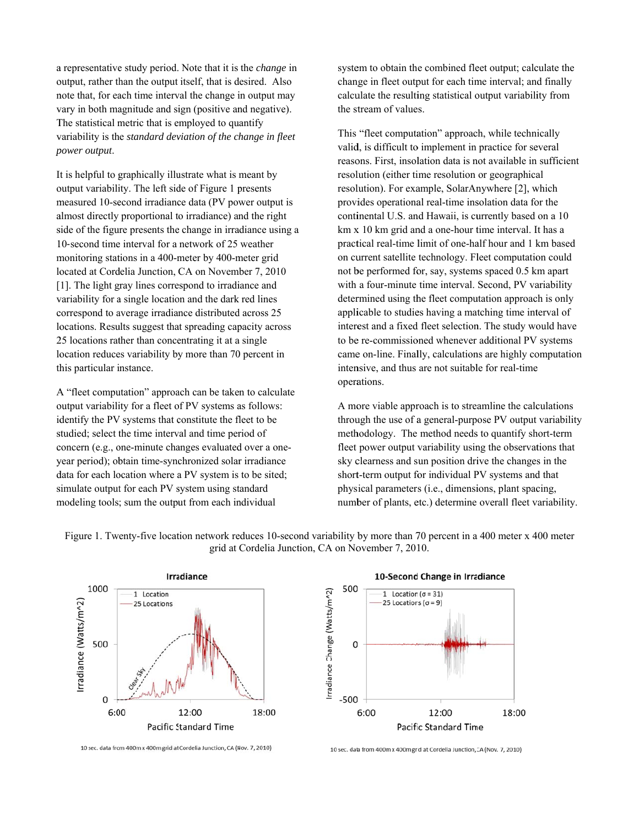a representative study period. Note that it is the *change* in output, rather than the output itself, that is desired. Also note that, for each time interval the change in output may vary in both magnitude and sign (positive and negative). The statistical metric that is employed to quantify variability is the standard deviation of the change in fleet power output.

It is helpful to graphically illustrate what is meant by output variability. The left side of Figure 1 presents measured 10-second irradiance data (PV power output is almost directly proportional to irradiance) and the right side of the figure presents the change in irradiance using a 10-second time interval for a network of 25 weather monitoring stations in a 400-meter by 400-meter grid located at Cordelia Junction, CA on November 7, 2010 [1]. The light gray lines correspond to irradiance and variability for a single location and the dark red lines correspond to average irradiance distributed across 25 locations. Results suggest that spreading capacity across 25 locations rather than concentrating it at a single location reduces variability by more than 70 percent in this particular instance.

A "fleet computation" approach can be taken to calculate output variability for a fleet of PV systems as follows: identify the PV systems that constitute the fleet to be studied; select the time interval and time period of concern (e.g., one-minute changes evaluated over a oneyear period); obtain time-synchronized solar irradiance data for each location where a PV system is to be sited; simulate output for each PV system using standard modeling tools; sum the output from each individual

system to obtain the combined fleet output; calculate the change in fleet output for each time interval; and finally calculate the resulting statistical output variability from the stream of values.

This "fleet computation" approach, while technically valid, is difficult to implement in practice for several reasons. First, insolation data is not available in sufficient resolution (either time resolution or geographical resolution). For example, SolarAnywhere [2], which provides operational real-time insolation data for the continental U.S. and Hawaii, is currently based on a 10 km x 10 km grid and a one-hour time interval. It has a practical real-time limit of one-half hour and 1 km based on current satellite technology. Fleet computation could not be performed for, say, systems spaced 0.5 km apart with a four-minute time interval. Second, PV variability determined using the fleet computation approach is only applicable to studies having a matching time interval of interest and a fixed fleet selection. The study would have to be re-commissioned whenever additional PV systems came on-line. Finally, calculations are highly computation intensive, and thus are not suitable for real-time operations.

A more viable approach is to streamline the calculations through the use of a general-purpose PV output variability methodology. The method needs to quantify short-term fleet power output variability using the observations that sky clearness and sun position drive the changes in the short-term output for individual PV systems and that physical parameters (i.e., dimensions, plant spacing, number of plants, etc.) determine overall fleet variability.



Figure 1. Twenty-five location network reduces 10-second variability by more than 70 percent in a 400 meter x 400 meter grid at Cordelia Junction, CA on November 7, 2010.



10 sec. data from 400m x 400m grid at Cordelia Junction, CA (Nov. 7, 2010)

Pacific Standard Time

<sup>10</sup> sec. data from 400m x 400m grid at Cordelia Junction, CA (Nov. 7, 2010)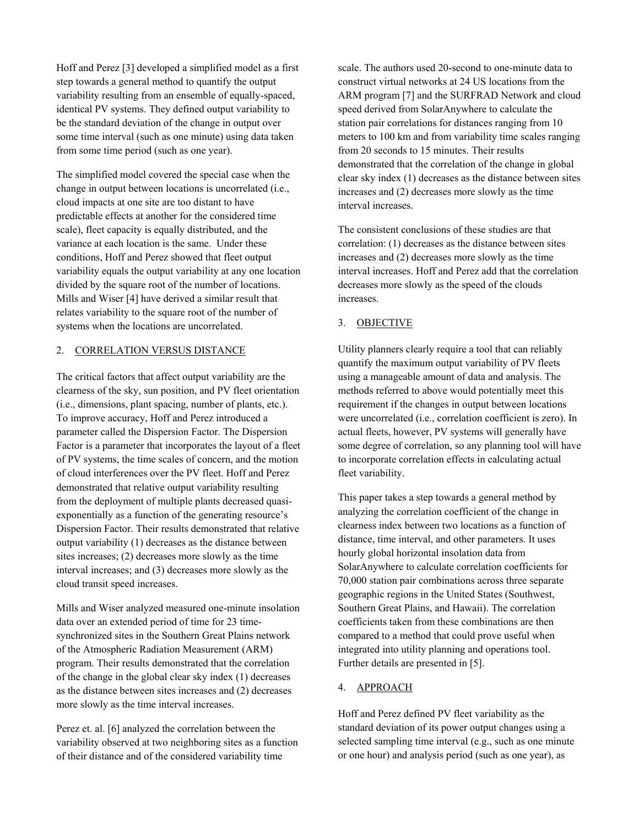Hoff and Perez [3] developed a simplified model as a first step towards a general method to quantify the output variability resulting from an ensemble of equally-spaced, identical PV systems. They defined output variability to be the standard deviation of the change in output over some time interval (such as one minute) using data taken from some time period (such as one year).

The simplified model covered the special case when the change in output between locations is uncorrelated (i.e., cloud impacts at one site are too distant to have predictable effects at another for the considered time scale), fleet capacity is equally distributed, and the variance at each location is the same. Under these conditions, Hoff and Perez showed that fleet output variability equals the output variability at any one location divided by the square root of the number of locations. Mills and Wiser [4] have derived a similar result that relates variability to the square root of the number of systems when the locations are uncorrelated.

# 2. CORRELATION VERSUS DISTANCE

The critical factors that affect output variability are the clearness of the sky, sun position, and PV fleet orientation (i.e., dimensions, plant spacing, number of plants, etc.). To improve accuracy, Hoff and Perez introduced a parameter called the Dispersion Factor. The Dispersion Factor is a parameter that incorporates the layout of a fleet of PV systems, the time scales of concern, and the motion of cloud interferences over the PV fleet. Hoff and Perez demonstrated that relative output variability resulting from the deployment of multiple plants decreased quasiexponentially as a function of the generating resource's Dispersion Factor. Their results demonstrated that relative output variability (1) decreases as the distance between sites increases; (2) decreases more slowly as the time interval increases; and (3) decreases more slowly as the cloud transit speed increases.

Mills and Wiser analyzed measured one-minute insolation data over an extended period of time for 23 timesynchronized sites in the Southern Great Plains network of the Atmospheric Radiation Measurement (ARM) program. Their results demonstrated that the correlation of the change in the global clear sky index (1) decreases as the distance between sites increases and (2) decreases more slowly as the time interval increases.

Perez et. al. [6] analyzed the correlation between the variability observed at two neighboring sites as a function of their distance and of the considered variability time

scale. The authors used 20-second to one-minute data to construct virtual networks at 24 US locations from the ARM program [7] and the SURFRAD Network and cloud speed derived from SolarAnywhere to calculate the station pair correlations for distances ranging from 10 meters to 100 km and from variability time scales ranging from 20 seconds to 15 minutes. Their results demonstrated that the correlation of the change in global clear sky index (1) decreases as the distance between sites increases and (2) decreases more slowly as the time interval increases.

The consistent conclusions of these studies are that correlation: (1) decreases as the distance between sites increases and (2) decreases more slowly as the time interval increases. Hoff and Perez add that the correlation decreases more slowly as the speed of the clouds increases.

### 3. OBJECTIVE

Utility planners clearly require a tool that can reliably quantify the maximum output variability of PV fleets using a manageable amount of data and analysis. The methods referred to above would potentially meet this requirement if the changes in output between locations were uncorrelated (i.e., correlation coefficient is zero). In actual fleets, however, PV systems will generally have some degree of correlation, so any planning tool will have to incorporate correlation effects in calculating actual fleet variability.

This paper takes a step towards a general method by analyzing the correlation coefficient of the change in clearness index between two locations as a function of distance, time interval, and other parameters. It uses hourly global horizontal insolation data from SolarAnywhere to calculate correlation coefficients for 70,000 station pair combinations across three separate geographic regions in the United States (Southwest, Southern Great Plains, and Hawaii). The correlation coefficients taken from these combinations are then compared to a method that could prove useful when integrated into utility planning and operations tool. Further details are presented in [5].

#### 4. APPROACH

Hoff and Perez defined PV fleet variability as the standard deviation of its power output changes using a selected sampling time interval (e.g., such as one minute or one hour) and analysis period (such as one year), as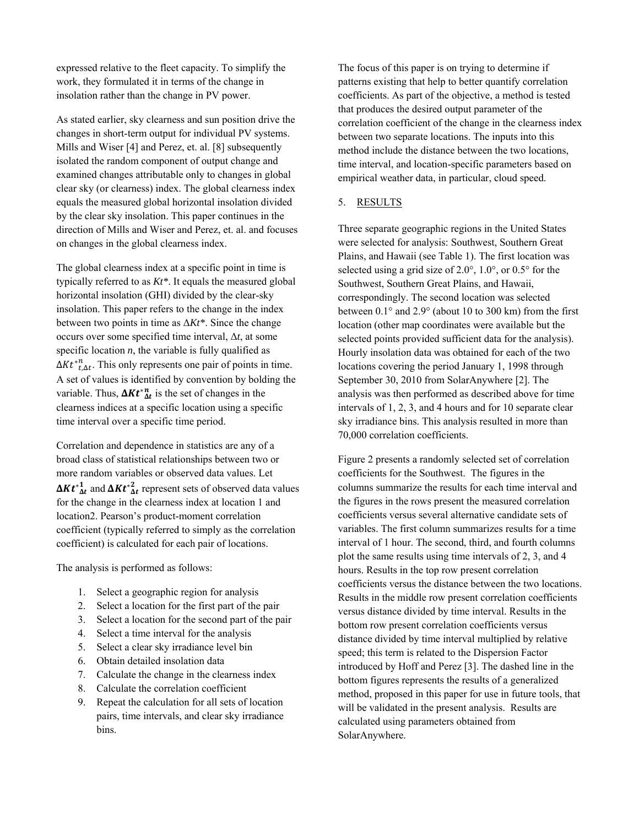expressed relative to the fleet capacity. To simplify the work, they formulated it in terms of the change in insolation rather than the change in PV power.

As stated earlier, sky clearness and sun position drive the changes in short-term output for individual PV systems. Mills and Wiser [4] and Perez, et. al. [8] subsequently isolated the random component of output change and examined changes attributable only to changes in global clear sky (or clearness) index. The global clearness index equals the measured global horizontal insolation divided by the clear sky insolation. This paper continues in the direction of Mills and Wiser and Perez, et. al. and focuses on changes in the global clearness index.

The global clearness index at a specific point in time is typically referred to as *Kt\**. It equals the measured global horizontal insolation (GHI) divided by the clear-sky insolation. This paper refers to the change in the index between two points in time as Δ*Kt\**. Since the change occurs over some specified time interval, Δ*t*, at some specific location  $n$ , the variable is fully qualified as  $\Delta K t^*_{t,\Delta t}^n$ . This only represents one pair of points in time. A set of values is identified by convention by bolding the variable. Thus,  $\Delta K t^*_{\Delta t}^n$  is the set of changes in the clearness indices at a specific location using a specific time interval over a specific time period.

Correlation and dependence in statistics are any of a broad class of statistical relationships between two or more random variables or observed data values. Let  $\Delta K t_{\Delta t}^{*1}$  and  $\Delta K t_{\Delta t}^{*2}$  represent sets of observed data values for the change in the clearness index at location 1 and location2. Pearson's product-moment correlation coefficient (typically referred to simply as the correlation coefficient) is calculated for each pair of locations.

The analysis is performed as follows:

- 1. Select a geographic region for analysis
- 2. Select a location for the first part of the pair
- 3. Select a location for the second part of the pair
- 4. Select a time interval for the analysis
- 5. Select a clear sky irradiance level bin
- 6. Obtain detailed insolation data
- 7. Calculate the change in the clearness index
- 8. Calculate the correlation coefficient
- 9. Repeat the calculation for all sets of location pairs, time intervals, and clear sky irradiance bins.

The focus of this paper is on trying to determine if patterns existing that help to better quantify correlation coefficients. As part of the objective, a method is tested that produces the desired output parameter of the correlation coefficient of the change in the clearness index between two separate locations. The inputs into this method include the distance between the two locations, time interval, and location-specific parameters based on empirical weather data, in particular, cloud speed.

#### 5. RESULTS

Three separate geographic regions in the United States were selected for analysis: Southwest, Southern Great Plains, and Hawaii (see Table 1). The first location was selected using a grid size of 2.0°, 1.0°, or 0.5° for the Southwest, Southern Great Plains, and Hawaii, correspondingly. The second location was selected between 0.1° and 2.9° (about 10 to 300 km) from the first location (other map coordinates were available but the selected points provided sufficient data for the analysis). Hourly insolation data was obtained for each of the two locations covering the period January 1, 1998 through September 30, 2010 from SolarAnywhere [2]. The analysis was then performed as described above for time intervals of 1, 2, 3, and 4 hours and for 10 separate clear sky irradiance bins. This analysis resulted in more than 70,000 correlation coefficients.

Figure 2 presents a randomly selected set of correlation coefficients for the Southwest. The figures in the columns summarize the results for each time interval and the figures in the rows present the measured correlation coefficients versus several alternative candidate sets of variables. The first column summarizes results for a time interval of 1 hour. The second, third, and fourth columns plot the same results using time intervals of 2, 3, and 4 hours. Results in the top row present correlation coefficients versus the distance between the two locations. Results in the middle row present correlation coefficients versus distance divided by time interval. Results in the bottom row present correlation coefficients versus distance divided by time interval multiplied by relative speed; this term is related to the Dispersion Factor introduced by Hoff and Perez [3]. The dashed line in the bottom figures represents the results of a generalized method, proposed in this paper for use in future tools, that will be validated in the present analysis. Results are calculated using parameters obtained from SolarAnywhere.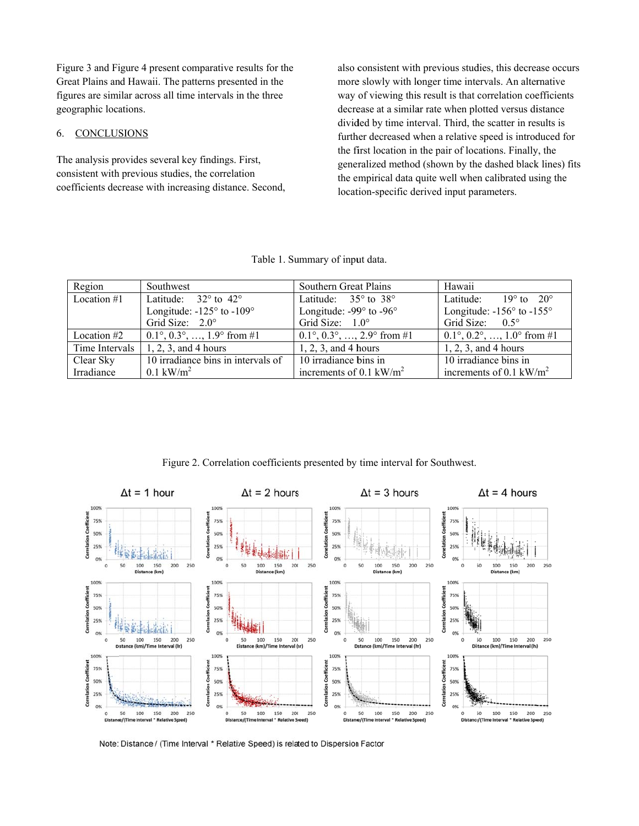Figure 3 and Figure 4 present comparative results for the Great Plains and Hawaii. The patterns presented in the figures are similar across all time intervals in the three geographic locations.

#### 6. **CONCLUSIONS**

The analysis provides several key findings. First, consistent with previous studies, the correlation coefficients decrease with increasing distance. Second,

also consistent with previous studies, this decrease occurs more slowly with longer time intervals. An alternative way of viewing this result is that correlation coefficients decrease at a similar rate when plotted versus distance divided by time interval. Third, the scatter in results is further decreased when a relative speed is introduced for the first location in the pair of locations. Finally, the generalized method (shown by the dashed black lines) fits the empirical data quite well when calibrated using the location-specific derived input parameters.

| Table 1. Summary of input data. |  |  |  |  |
|---------------------------------|--|--|--|--|
|---------------------------------|--|--|--|--|

| Region        | Southwest                                                                            | Southern Great Plains                                   | Hawaii                                                  |
|---------------|--------------------------------------------------------------------------------------|---------------------------------------------------------|---------------------------------------------------------|
| Location $#1$ | Latitude: $32^{\circ}$ to $42^{\circ}$                                               | Latitude: $35^\circ$ to $38^\circ$                      | Latitude: $19^{\circ}$ to $20^{\circ}$                  |
|               | Longitude: $-125^\circ$ to $-109^\circ$                                              | Longitude: $-99^\circ$ to $-96^\circ$                   | Longitude: $-156^\circ$ to $-155^\circ$                 |
|               | Grid Size: $2.0^\circ$                                                               | Grid Size: $1.0^\circ$                                  | Grid Size: $0.5^{\circ}$                                |
| Location #2   | $0.1^{\circ}, 0.3^{\circ}, \ldots, 1.9^{\circ}$ from #1                              | $0.1^{\circ}, 0.3^{\circ}, \ldots, 2.9^{\circ}$ from #1 | $0.1^{\circ}, 0.2^{\circ}, \ldots, 1.0^{\circ}$ from #1 |
|               | Time Intervals $\begin{bmatrix} 1, 2, 3, \text{ and } 4 \text{ hours} \end{bmatrix}$ | $1, 2, 3$ , and 4 hours                                 | $1, 2, 3,$ and 4 hours                                  |
| Clear Sky     | 10 irradiance bins in intervals of                                                   | 10 irradiance bins in                                   | 10 irradiance bins in                                   |
| Irradiance    | $0.1 \text{ kW/m}^2$                                                                 | increments of 0.1 kW/m <sup>2</sup>                     | increments of 0.1 kW/m <sup>2</sup>                     |

Figure 2. Correlation coefficients presented by time interval for Southwest.



Note: Distance / (Time Interval \* Relative Speed) is related to Dispersion Factor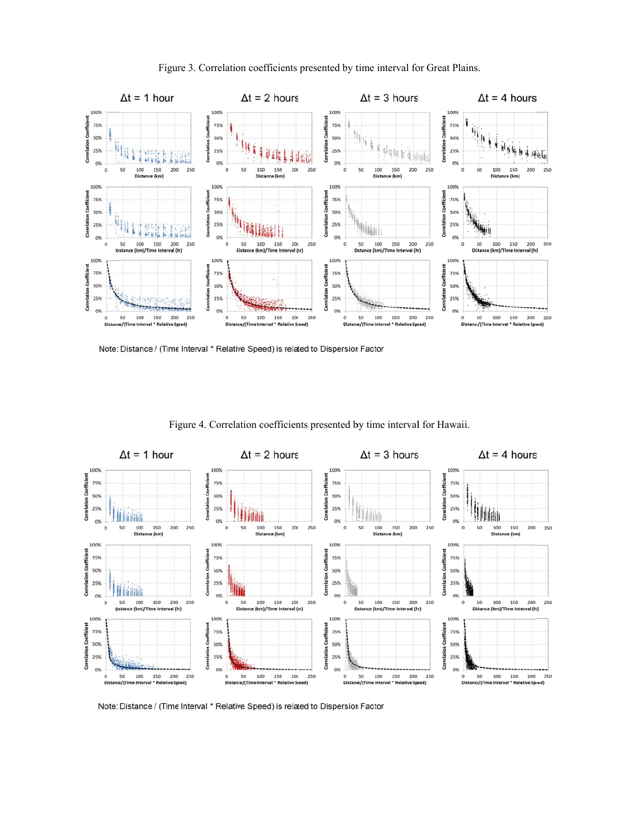

Figure 3. Correlation coefficients presented by time interval for Great Plains.

Note: Distance / (Time Interval \* Relative Speed) is related to Dispersion Factor



Figure 4. Correlation coefficients presented by time interval for Hawaii.

Note: Distance / (Time Interval \* Relative Speed) is related to Dispersion Factor